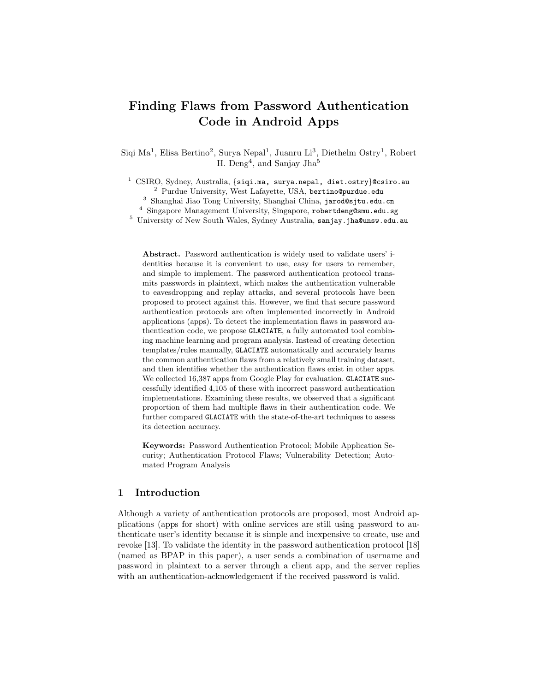# Finding Flaws from Password Authentication Code in Android Apps

Siqi Ma<sup>1</sup>, Elisa Bertino<sup>2</sup>, Surya Nepal<sup>1</sup>, Juanru Li<sup>3</sup>, Diethelm Ostry<sup>1</sup>, Robert H. Deng<sup>4</sup>, and Sanjay Jha<sup>5</sup>

<sup>1</sup> CSIRO, Sydney, Australia, {siqi.ma, surya.nepal, diet.ostry}@csiro.au <sup>2</sup> Purdue University, West Lafayette, USA, bertino@purdue.edu

<sup>3</sup> Shanghai Jiao Tong University, Shanghai China, jarod@sjtu.edu.cn

<sup>4</sup> Singapore Management University, Singapore, robertdeng@smu.edu.sg

<sup>5</sup> University of New South Wales, Sydney Australia, sanjay.jha@unsw.edu.au

Abstract. Password authentication is widely used to validate users' identities because it is convenient to use, easy for users to remember, and simple to implement. The password authentication protocol transmits passwords in plaintext, which makes the authentication vulnerable to eavesdropping and replay attacks, and several protocols have been proposed to protect against this. However, we find that secure password authentication protocols are often implemented incorrectly in Android applications (apps). To detect the implementation flaws in password authentication code, we propose GLACIATE, a fully automated tool combining machine learning and program analysis. Instead of creating detection templates/rules manually, GLACIATE automatically and accurately learns the common authentication flaws from a relatively small training dataset, and then identifies whether the authentication flaws exist in other apps. We collected 16,387 apps from Google Play for evaluation. GLACIATE successfully identified 4,105 of these with incorrect password authentication implementations. Examining these results, we observed that a significant proportion of them had multiple flaws in their authentication code. We further compared GLACIATE with the state-of-the-art techniques to assess its detection accuracy.

Keywords: Password Authentication Protocol; Mobile Application Security; Authentication Protocol Flaws; Vulnerability Detection; Automated Program Analysis

# 1 Introduction

Although a variety of authentication protocols are proposed, most Android applications (apps for short) with online services are still using password to authenticate user's identity because it is simple and inexpensive to create, use and revoke [13]. To validate the identity in the password authentication protocol [18] (named as BPAP in this paper), a user sends a combination of username and password in plaintext to a server through a client app, and the server replies with an authentication-acknowledgement if the received password is valid.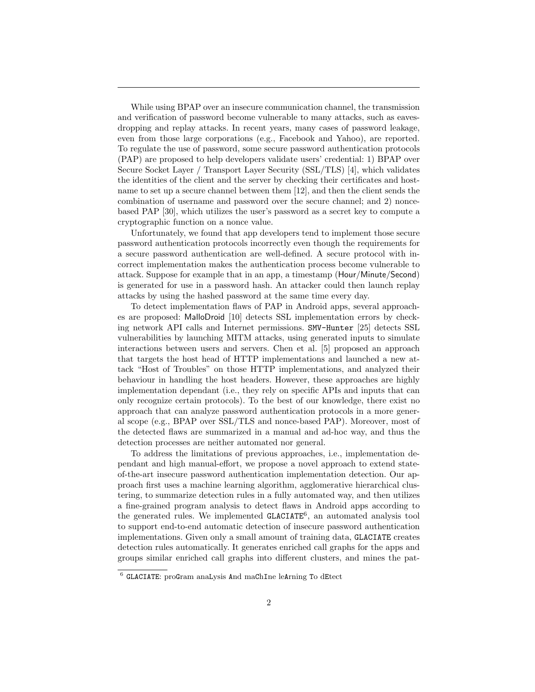While using BPAP over an insecure communication channel, the transmission and verification of password become vulnerable to many attacks, such as eavesdropping and replay attacks. In recent years, many cases of password leakage, even from those large corporations (e.g., Facebook and Yahoo), are reported. To regulate the use of password, some secure password authentication protocols (PAP) are proposed to help developers validate users' credential: 1) BPAP over Secure Socket Layer / Transport Layer Security (SSL/TLS) [4], which validates the identities of the client and the server by checking their certificates and hostname to set up a secure channel between them [12], and then the client sends the combination of username and password over the secure channel; and 2) noncebased PAP [30], which utilizes the user's password as a secret key to compute a cryptographic function on a nonce value.

Unfortunately, we found that app developers tend to implement those secure password authentication protocols incorrectly even though the requirements for a secure password authentication are well-defined. A secure protocol with incorrect implementation makes the authentication process become vulnerable to attack. Suppose for example that in an app, a timestamp (Hour/Minute/Second) is generated for use in a password hash. An attacker could then launch replay attacks by using the hashed password at the same time every day.

To detect implementation flaws of PAP in Android apps, several approaches are proposed: MalloDroid [10] detects SSL implementation errors by checking network API calls and Internet permissions. SMV-Hunter [25] detects SSL vulnerabilities by launching MITM attacks, using generated inputs to simulate interactions between users and servers. Chen et al. [5] proposed an approach that targets the host head of HTTP implementations and launched a new attack "Host of Troubles" on those HTTP implementations, and analyzed their behaviour in handling the host headers. However, these approaches are highly implementation dependant (i.e., they rely on specific APIs and inputs that can only recognize certain protocols). To the best of our knowledge, there exist no approach that can analyze password authentication protocols in a more general scope (e.g., BPAP over SSL/TLS and nonce-based PAP). Moreover, most of the detected flaws are summarized in a manual and ad-hoc way, and thus the detection processes are neither automated nor general.

To address the limitations of previous approaches, i.e., implementation dependant and high manual-effort, we propose a novel approach to extend stateof-the-art insecure password authentication implementation detection. Our approach first uses a machine learning algorithm, agglomerative hierarchical clustering, to summarize detection rules in a fully automated way, and then utilizes a fine-grained program analysis to detect flaws in Android apps according to the generated rules. We implemented GLACIATE<sup>6</sup>, an automated analysis tool to support end-to-end automatic detection of insecure password authentication implementations. Given only a small amount of training data, GLACIATE creates detection rules automatically. It generates enriched call graphs for the apps and groups similar enriched call graphs into different clusters, and mines the pat-

<sup>6</sup> GLACIATE: proGram anaLysis And maChIne leArning To dEtect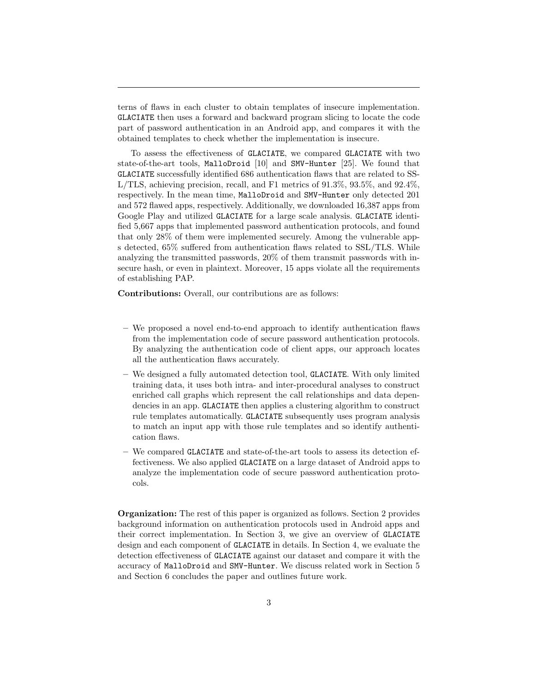terns of flaws in each cluster to obtain templates of insecure implementation. GLACIATE then uses a forward and backward program slicing to locate the code part of password authentication in an Android app, and compares it with the obtained templates to check whether the implementation is insecure.

To assess the effectiveness of GLACIATE, we compared GLACIATE with two state-of-the-art tools, MalloDroid [10] and SMV-Hunter [25]. We found that GLACIATE successfully identified 686 authentication flaws that are related to SS-L/TLS, achieving precision, recall, and F1 metrics of 91.3%, 93.5%, and 92.4%, respectively. In the mean time, MalloDroid and SMV-Hunter only detected 201 and 572 flawed apps, respectively. Additionally, we downloaded 16,387 apps from Google Play and utilized GLACIATE for a large scale analysis. GLACIATE identified 5,667 apps that implemented password authentication protocols, and found that only 28% of them were implemented securely. Among the vulnerable apps detected, 65% suffered from authentication flaws related to SSL/TLS. While analyzing the transmitted passwords, 20% of them transmit passwords with insecure hash, or even in plaintext. Moreover, 15 apps violate all the requirements of establishing PAP.

Contributions: Overall, our contributions are as follows:

- We proposed a novel end-to-end approach to identify authentication flaws from the implementation code of secure password authentication protocols. By analyzing the authentication code of client apps, our approach locates all the authentication flaws accurately.
- We designed a fully automated detection tool, GLACIATE. With only limited training data, it uses both intra- and inter-procedural analyses to construct enriched call graphs which represent the call relationships and data dependencies in an app. GLACIATE then applies a clustering algorithm to construct rule templates automatically. GLACIATE subsequently uses program analysis to match an input app with those rule templates and so identify authentication flaws.
- We compared GLACIATE and state-of-the-art tools to assess its detection effectiveness. We also applied GLACIATE on a large dataset of Android apps to analyze the implementation code of secure password authentication protocols.

Organization: The rest of this paper is organized as follows. Section 2 provides background information on authentication protocols used in Android apps and their correct implementation. In Section 3, we give an overview of GLACIATE design and each component of GLACIATE in details. In Section 4, we evaluate the detection effectiveness of GLACIATE against our dataset and compare it with the accuracy of MalloDroid and SMV-Hunter. We discuss related work in Section 5 and Section 6 concludes the paper and outlines future work.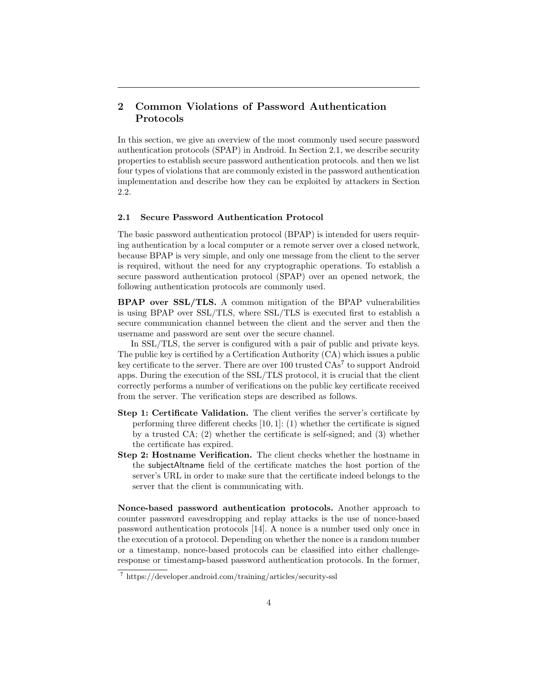# 2 Common Violations of Password Authentication Protocols

In this section, we give an overview of the most commonly used secure password authentication protocols (SPAP) in Android. In Section 2.1, we describe security properties to establish secure password authentication protocols. and then we list four types of violations that are commonly existed in the password authentication implementation and describe how they can be exploited by attackers in Section 2.2.

### 2.1 Secure Password Authentication Protocol

The basic password authentication protocol (BPAP) is intended for users requiring authentication by a local computer or a remote server over a closed network, because BPAP is very simple, and only one message from the client to the server is required, without the need for any cryptographic operations. To establish a secure password authentication protocol (SPAP) over an opened network, the following authentication protocols are commonly used.

BPAP over SSL/TLS. A common mitigation of the BPAP vulnerabilities is using BPAP over SSL/TLS, where SSL/TLS is executed first to establish a secure communication channel between the client and the server and then the username and password are sent over the secure channel.

In SSL/TLS, the server is configured with a pair of public and private keys. The public key is certified by a Certification Authority (CA) which issues a public key certificate to the server. There are over  $100$  trusted  $CAs<sup>7</sup>$  to support Android apps. During the execution of the SSL/TLS protocol, it is crucial that the client correctly performs a number of verifications on the public key certificate received from the server. The verification steps are described as follows.

- Step 1: Certificate Validation. The client verifies the server's certificate by performing three different checks [10, 1]: (1) whether the certificate is signed by a trusted CA; (2) whether the certificate is self-signed; and (3) whether the certificate has expired.
- Step 2: Hostname Verification. The client checks whether the hostname in the subjectAltname field of the certificate matches the host portion of the server's URL in order to make sure that the certificate indeed belongs to the server that the client is communicating with.

Nonce-based password authentication protocols. Another approach to counter password eavesdropping and replay attacks is the use of nonce-based password authentication protocols [14]. A nonce is a number used only once in the execution of a protocol. Depending on whether the nonce is a random number or a timestamp, nonce-based protocols can be classified into either challengeresponse or timestamp-based password authentication protocols. In the former,

<sup>7</sup> https://developer.android.com/training/articles/security-ssl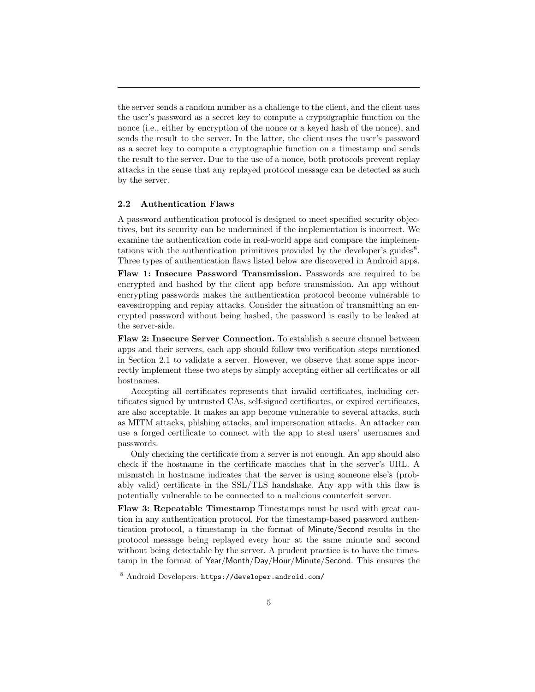the server sends a random number as a challenge to the client, and the client uses the user's password as a secret key to compute a cryptographic function on the nonce (i.e., either by encryption of the nonce or a keyed hash of the nonce), and sends the result to the server. In the latter, the client uses the user's password as a secret key to compute a cryptographic function on a timestamp and sends the result to the server. Due to the use of a nonce, both protocols prevent replay attacks in the sense that any replayed protocol message can be detected as such by the server.

### 2.2 Authentication Flaws

A password authentication protocol is designed to meet specified security objectives, but its security can be undermined if the implementation is incorrect. We examine the authentication code in real-world apps and compare the implementations with the authentication primitives provided by the developer's guides $8$ . Three types of authentication flaws listed below are discovered in Android apps.

Flaw 1: Insecure Password Transmission. Passwords are required to be encrypted and hashed by the client app before transmission. An app without encrypting passwords makes the authentication protocol become vulnerable to eavesdropping and replay attacks. Consider the situation of transmitting an encrypted password without being hashed, the password is easily to be leaked at the server-side.

Flaw 2: Insecure Server Connection. To establish a secure channel between apps and their servers, each app should follow two verification steps mentioned in Section 2.1 to validate a server. However, we observe that some apps incorrectly implement these two steps by simply accepting either all certificates or all hostnames.

Accepting all certificates represents that invalid certificates, including certificates signed by untrusted CAs, self-signed certificates, or expired certificates, are also acceptable. It makes an app become vulnerable to several attacks, such as MITM attacks, phishing attacks, and impersonation attacks. An attacker can use a forged certificate to connect with the app to steal users' usernames and passwords.

Only checking the certificate from a server is not enough. An app should also check if the hostname in the certificate matches that in the server's URL. A mismatch in hostname indicates that the server is using someone else's (probably valid) certificate in the SSL/TLS handshake. Any app with this flaw is potentially vulnerable to be connected to a malicious counterfeit server.

Flaw 3: Repeatable Timestamp Timestamps must be used with great caution in any authentication protocol. For the timestamp-based password authentication protocol, a timestamp in the format of Minute/Second results in the protocol message being replayed every hour at the same minute and second without being detectable by the server. A prudent practice is to have the timestamp in the format of Year/Month/Day/Hour/Minute/Second. This ensures the

<sup>8</sup> Android Developers: https://developer.android.com/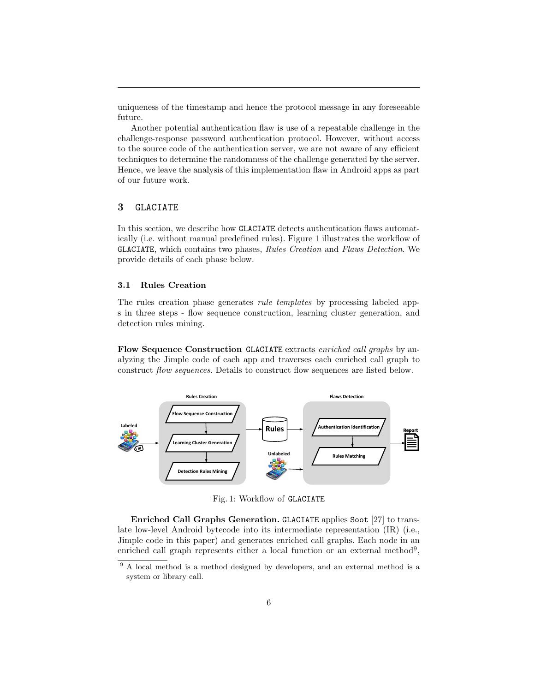uniqueness of the timestamp and hence the protocol message in any foreseeable future.

Another potential authentication flaw is use of a repeatable challenge in the challenge-response password authentication protocol. However, without access to the source code of the authentication server, we are not aware of any efficient techniques to determine the randomness of the challenge generated by the server. Hence, we leave the analysis of this implementation flaw in Android apps as part of our future work.

# 3 GLACIATE

In this section, we describe how GLACIATE detects authentication flaws automatically (i.e. without manual predefined rules). Figure 1 illustrates the workflow of GLACIATE, which contains two phases, Rules Creation and Flaws Detection. We provide details of each phase below.

## 3.1 Rules Creation

The rules creation phase generates *rule templates* by processing labeled apps in three steps - flow sequence construction, learning cluster generation, and detection rules mining.

Flow Sequence Construction GLACIATE extracts enriched call graphs by analyzing the Jimple code of each app and traverses each enriched call graph to construct flow sequences. Details to construct flow sequences are listed below.



Fig. 1: Workflow of GLACIATE

Enriched Call Graphs Generation. GLACIATE applies Soot [27] to translate low-level Android bytecode into its intermediate representation (IR) (i.e., Jimple code in this paper) and generates enriched call graphs. Each node in an enriched call graph represents either a local function or an external method<sup>9</sup>,

<sup>&</sup>lt;sup>9</sup> A local method is a method designed by developers, and an external method is a system or library call.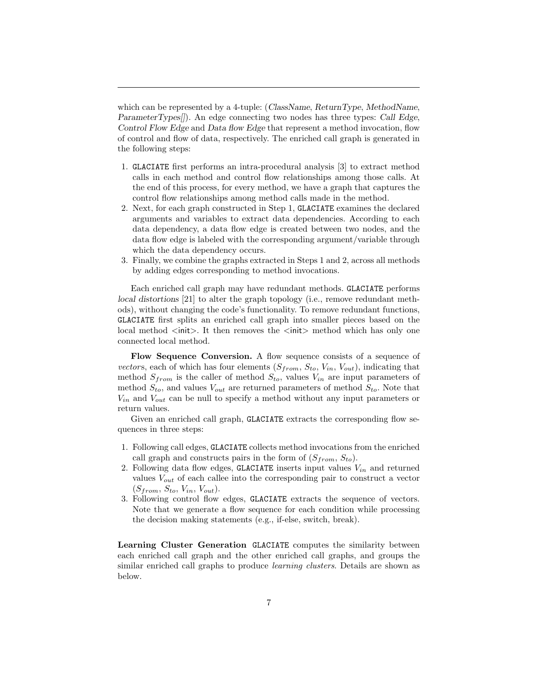which can be represented by a 4-tuple: (ClassName, ReturnType, MethodName, ParameterTypes[]). An edge connecting two nodes has three types: Call Edge, Control Flow Edge and Data flow Edge that represent a method invocation, flow of control and flow of data, respectively. The enriched call graph is generated in the following steps:

- 1. GLACIATE first performs an intra-procedural analysis [3] to extract method calls in each method and control flow relationships among those calls. At the end of this process, for every method, we have a graph that captures the control flow relationships among method calls made in the method.
- 2. Next, for each graph constructed in Step 1, GLACIATE examines the declared arguments and variables to extract data dependencies. According to each data dependency, a data flow edge is created between two nodes, and the data flow edge is labeled with the corresponding argument/variable through which the data dependency occurs.
- 3. Finally, we combine the graphs extracted in Steps 1 and 2, across all methods by adding edges corresponding to method invocations.

Each enriched call graph may have redundant methods. GLACIATE performs local distortions [21] to alter the graph topology (i.e., remove redundant methods), without changing the code's functionality. To remove redundant functions, GLACIATE first splits an enriched call graph into smaller pieces based on the local method  $\langle \text{init}\rangle$ . It then removes the  $\langle \text{init}\rangle$  method which has only one connected local method.

Flow Sequence Conversion. A flow sequence consists of a sequence of vectors, each of which has four elements  $(S_{from}, S_{to}, V_{in}, V_{out})$ , indicating that method  $S_{from}$  is the caller of method  $S_{to}$ , values  $V_{in}$  are input parameters of method  $S_{to}$ , and values  $V_{out}$  are returned parameters of method  $S_{to}$ . Note that  $V_{in}$  and  $V_{out}$  can be null to specify a method without any input parameters or return values.

Given an enriched call graph, GLACIATE extracts the corresponding flow sequences in three steps:

- 1. Following call edges, GLACIATE collects method invocations from the enriched call graph and constructs pairs in the form of  $(S_{from}, S_{to}).$
- 2. Following data flow edges, GLACIATE inserts input values  $V_{in}$  and returned values  $V_{out}$  of each callee into the corresponding pair to construct a vector  $(S_{from}, S_{to}, V_{in}, V_{out}).$
- 3. Following control flow edges, GLACIATE extracts the sequence of vectors. Note that we generate a flow sequence for each condition while processing the decision making statements (e.g., if-else, switch, break).

Learning Cluster Generation GLACIATE computes the similarity between each enriched call graph and the other enriched call graphs, and groups the similar enriched call graphs to produce *learning clusters*. Details are shown as below.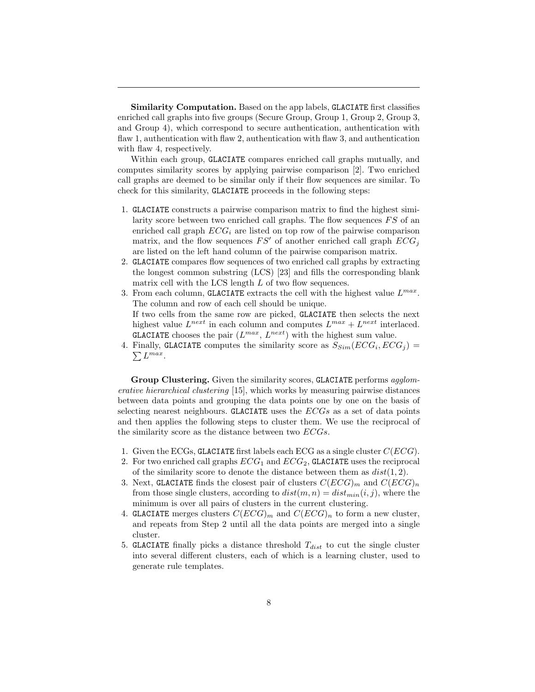Similarity Computation. Based on the app labels, GLACIATE first classifies enriched call graphs into five groups (Secure Group, Group 1, Group 2, Group 3, and Group 4), which correspond to secure authentication, authentication with flaw 1, authentication with flaw 2, authentication with flaw 3, and authentication with flaw 4, respectively.

Within each group, GLACIATE compares enriched call graphs mutually, and computes similarity scores by applying pairwise comparison [2]. Two enriched call graphs are deemed to be similar only if their flow sequences are similar. To check for this similarity, GLACIATE proceeds in the following steps:

- 1. GLACIATE constructs a pairwise comparison matrix to find the highest similarity score between two enriched call graphs. The flow sequences  $FS$  of an enriched call graph  $ECG_i$  are listed on top row of the pairwise comparison matrix, and the flow sequences  $FS'$  of another enriched call graph  $ECG_j$ are listed on the left hand column of the pairwise comparison matrix.
- 2. GLACIATE compares flow sequences of two enriched call graphs by extracting the longest common substring (LCS) [23] and fills the corresponding blank matrix cell with the LCS length  $L$  of two flow sequences.
- 3. From each column, GLACIATE extracts the cell with the highest value  $L^{max}$ . The column and row of each cell should be unique. If two cells from the same row are picked, GLACIATE then selects the next highest value  $L^{next}$  in each column and computes  $L^{max} + L^{next}$  interlaced. **GLACIATE** chooses the pair  $(L^{max}, L^{next})$  with the highest sum value.
- 4. Finally, GLACIATE computes the similarity score as  $S_{Sim}(ECG_i, ECG_j)$  =  $\sum L^{max}$ .

Group Clustering. Given the similarity scores, GLACIATE performs *agglom*erative hierarchical clustering [15], which works by measuring pairwise distances between data points and grouping the data points one by one on the basis of selecting nearest neighbours. GLACIATE uses the  $ECGs$  as a set of data points and then applies the following steps to cluster them. We use the reciprocal of the similarity score as the distance between two ECGs.

- 1. Given the ECGs, GLACIATE first labels each ECG as a single cluster  $C(ECG)$ .
- 2. For two enriched call graphs  $ECG_1$  and  $ECG_2$ , GLACIATE uses the reciprocal of the similarity score to denote the distance between them as  $dist(1, 2)$ .
- 3. Next, GLACIATE finds the closest pair of clusters  $C(ECG)_m$  and  $C(ECG)_n$ from those single clusters, according to  $dist(m, n) = dist_{min}(i, j)$ , where the minimum is over all pairs of clusters in the current clustering.
- 4. GLACIATE merges clusters  $C(ECG)_m$  and  $C(ECG)_n$  to form a new cluster, and repeats from Step 2 until all the data points are merged into a single cluster.
- 5. GLACIATE finally picks a distance threshold  $T_{dist}$  to cut the single cluster into several different clusters, each of which is a learning cluster, used to generate rule templates.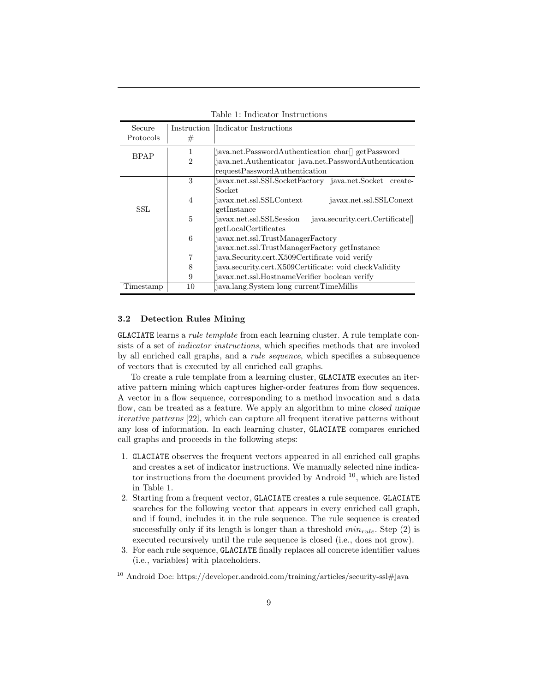Table 1: Indicator Instructions

| Secure      |                                        | Instruction Indicator Instructions                           |  |  |  |  |
|-------------|----------------------------------------|--------------------------------------------------------------|--|--|--|--|
| Protocols   | #                                      |                                                              |  |  |  |  |
| <b>BPAP</b> | 1                                      | java.net.PasswordAuthentication char getPassword             |  |  |  |  |
|             | $\overline{2}$                         | java.net.Authenticator java.net.PasswordAuthentication       |  |  |  |  |
|             |                                        | requestPasswordAuthentication                                |  |  |  |  |
|             | 3                                      | javax.net.ssl.SSLSocketFactory java.net.Socket<br>create-    |  |  |  |  |
|             |                                        | Socket                                                       |  |  |  |  |
|             | 4                                      | javax.net.ssl.SSLContext<br>javax.net.ssl.SSLConext          |  |  |  |  |
| SSL.        |                                        | getInstance                                                  |  |  |  |  |
|             | 5                                      | javax.net.ssl.SSLSession<br>java.security.cert.Certificatell |  |  |  |  |
|             |                                        | getLocalCertificates                                         |  |  |  |  |
|             | 6<br>javax.net.ssl.TrustManagerFactory |                                                              |  |  |  |  |
|             |                                        | javax.net.ssl.TrustManagerFactory getInstance                |  |  |  |  |
|             |                                        | java.Security.cert.X509Certificate void verify               |  |  |  |  |
|             | 8                                      | java.security.cert.X509Certificate: void checkValidity       |  |  |  |  |
|             | 9                                      | javax.net.ssl.HostnameVerifier boolean verify                |  |  |  |  |
| Timestamp   | 10                                     | java.lang.System long currentTimeMillis                      |  |  |  |  |

# 3.2 Detection Rules Mining

GLACIATE learns a rule template from each learning cluster. A rule template consists of a set of indicator instructions, which specifies methods that are invoked by all enriched call graphs, and a rule sequence, which specifies a subsequence of vectors that is executed by all enriched call graphs.

To create a rule template from a learning cluster, GLACIATE executes an iterative pattern mining which captures higher-order features from flow sequences. A vector in a flow sequence, corresponding to a method invocation and a data flow, can be treated as a feature. We apply an algorithm to mine closed unique iterative patterns [22], which can capture all frequent iterative patterns without any loss of information. In each learning cluster, GLACIATE compares enriched call graphs and proceeds in the following steps:

- 1. GLACIATE observes the frequent vectors appeared in all enriched call graphs and creates a set of indicator instructions. We manually selected nine indicator instructions from the document provided by Android  $^{10}$ , which are listed in Table 1.
- 2. Starting from a frequent vector, GLACIATE creates a rule sequence. GLACIATE searches for the following vector that appears in every enriched call graph, and if found, includes it in the rule sequence. The rule sequence is created successfully only if its length is longer than a threshold  $min_{rule}$ . Step (2) is executed recursively until the rule sequence is closed (i.e., does not grow).
- 3. For each rule sequence, GLACIATE finally replaces all concrete identifier values (i.e., variables) with placeholders.

<sup>&</sup>lt;sup>10</sup> Android Doc: https://developer.android.com/training/articles/security-ssl#java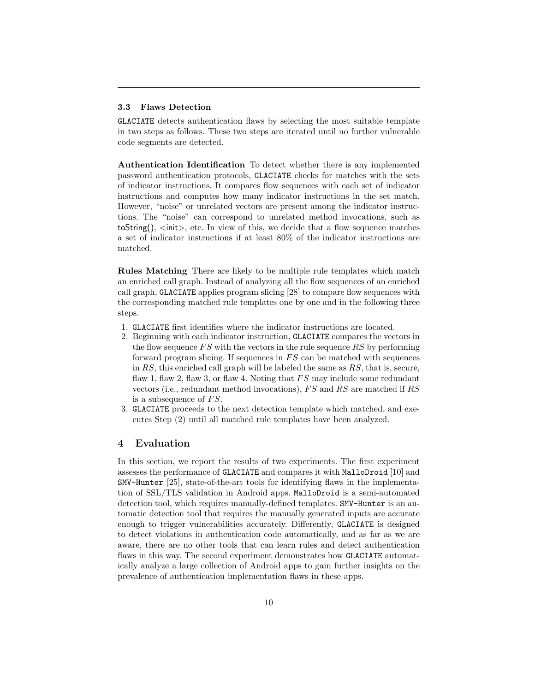## 3.3 Flaws Detection

GLACIATE detects authentication flaws by selecting the most suitable template in two steps as follows. These two steps are iterated until no further vulnerable code segments are detected.

Authentication Identification To detect whether there is any implemented password authentication protocols, GLACIATE checks for matches with the sets of indicator instructions. It compares flow sequences with each set of indicator instructions and computes how many indicator instructions in the set match. However, "noise" or unrelated vectors are present among the indicator instructions. The "noise" can correspond to unrelated method invocations, such as to String(),  $\langle \text{init}\rangle$ , etc. In view of this, we decide that a flow sequence matches a set of indicator instructions if at least 80% of the indicator instructions are matched.

Rules Matching There are likely to be multiple rule templates which match an enriched call graph. Instead of analyzing all the flow sequences of an enriched call graph, GLACIATE applies program slicing [28] to compare flow sequences with the corresponding matched rule templates one by one and in the following three steps.

- 1. GLACIATE first identifies where the indicator instructions are located.
- 2. Beginning with each indicator instruction, GLACIATE compares the vectors in the flow sequence  $FS$  with the vectors in the rule sequence  $RS$  by performing forward program slicing. If sequences in  $FS$  can be matched with sequences in  $RS$ , this enriched call graph will be labeled the same as  $RS$ , that is, secure, flaw 1, flaw 2, flaw 3, or flaw 4. Noting that  $FS$  may include some redundant vectors (i.e., redundant method invocations),  $FS$  and  $RS$  are matched if  $RS$ is a subsequence of  $FS$ .
- 3. GLACIATE proceeds to the next detection template which matched, and executes Step (2) until all matched rule templates have been analyzed.

# 4 Evaluation

In this section, we report the results of two experiments. The first experiment assesses the performance of GLACIATE and compares it with MalloDroid [10] and SMV-Hunter [25], state-of-the-art tools for identifying flaws in the implementation of SSL/TLS validation in Android apps. MalloDroid is a semi-automated detection tool, which requires manually-defined templates. SMV-Hunter is an automatic detection tool that requires the manually generated inputs are accurate enough to trigger vulnerabilities accurately. Differently, GLACIATE is designed to detect violations in authentication code automatically, and as far as we are aware, there are no other tools that can learn rules and detect authentication flaws in this way. The second experiment demonstrates how GLACIATE automatically analyze a large collection of Android apps to gain further insights on the prevalence of authentication implementation flaws in these apps.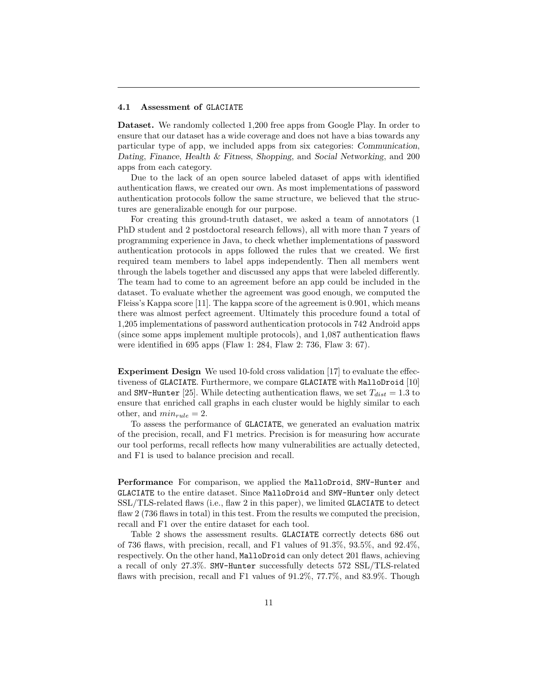#### 4.1 Assessment of GLACIATE

Dataset. We randomly collected 1,200 free apps from Google Play. In order to ensure that our dataset has a wide coverage and does not have a bias towards any particular type of app, we included apps from six categories: Communication, Dating, Finance, Health & Fitness, Shopping, and Social Networking, and 200 apps from each category.

Due to the lack of an open source labeled dataset of apps with identified authentication flaws, we created our own. As most implementations of password authentication protocols follow the same structure, we believed that the structures are generalizable enough for our purpose.

For creating this ground-truth dataset, we asked a team of annotators (1 PhD student and 2 postdoctoral research fellows), all with more than 7 years of programming experience in Java, to check whether implementations of password authentication protocols in apps followed the rules that we created. We first required team members to label apps independently. Then all members went through the labels together and discussed any apps that were labeled differently. The team had to come to an agreement before an app could be included in the dataset. To evaluate whether the agreement was good enough, we computed the Fleiss's Kappa score [11]. The kappa score of the agreement is 0.901, which means there was almost perfect agreement. Ultimately this procedure found a total of 1,205 implementations of password authentication protocols in 742 Android apps (since some apps implement multiple protocols), and 1,087 authentication flaws were identified in 695 apps (Flaw 1: 284, Flaw 2: 736, Flaw 3: 67).

Experiment Design We used 10-fold cross validation [17] to evaluate the effectiveness of GLACIATE. Furthermore, we compare GLACIATE with MalloDroid [10] and SMV-Hunter [25]. While detecting authentication flaws, we set  $T_{dist} = 1.3$  to ensure that enriched call graphs in each cluster would be highly similar to each other, and  $min_{rule} = 2$ .

To assess the performance of GLACIATE, we generated an evaluation matrix of the precision, recall, and F1 metrics. Precision is for measuring how accurate our tool performs, recall reflects how many vulnerabilities are actually detected, and F1 is used to balance precision and recall.

Performance For comparison, we applied the MalloDroid, SMV-Hunter and GLACIATE to the entire dataset. Since MalloDroid and SMV-Hunter only detect SSL/TLS-related flaws (i.e., flaw 2 in this paper), we limited GLACIATE to detect flaw 2 (736 flaws in total) in this test. From the results we computed the precision, recall and F1 over the entire dataset for each tool.

Table 2 shows the assessment results. GLACIATE correctly detects 686 out of 736 flaws, with precision, recall, and F1 values of 91.3%, 93.5%, and 92.4%, respectively. On the other hand, MalloDroid can only detect 201 flaws, achieving a recall of only 27.3%. SMV-Hunter successfully detects 572 SSL/TLS-related flaws with precision, recall and F1 values of 91.2%, 77.7%, and 83.9%. Though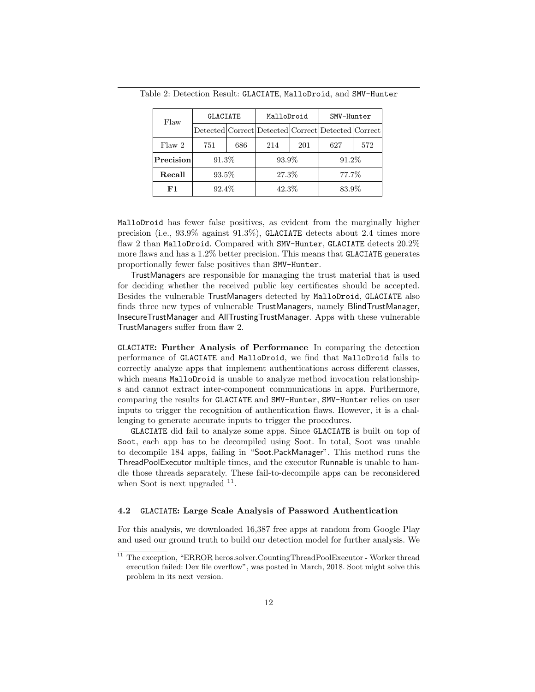| Flaw      | <b>GLACIATE</b> |     | MalloDroid                                         |     | SMV-Hunter |     |
|-----------|-----------------|-----|----------------------------------------------------|-----|------------|-----|
|           |                 |     | Detected Correct Detected Correct Detected Correct |     |            |     |
| Flaw 2    | 751             | 686 | 214                                                | 201 | 627        | 572 |
| Precision | 91.3%           |     | 93.9%                                              |     | 91.2%      |     |
| Recall    | 93.5%           |     | 27.3%                                              |     | 77.7%      |     |
| F1        | 92.4%           |     | 42.3%                                              |     | 83.9%      |     |

Table 2: Detection Result: GLACIATE, MalloDroid, and SMV-Hunter

MalloDroid has fewer false positives, as evident from the marginally higher precision (i.e., 93.9% against 91.3%), GLACIATE detects about 2.4 times more flaw 2 than MalloDroid. Compared with SMV-Hunter, GLACIATE detects  $20.2\%$ more flaws and has a 1.2% better precision. This means that GLACIATE generates proportionally fewer false positives than SMV-Hunter.

TrustManagers are responsible for managing the trust material that is used for deciding whether the received public key certificates should be accepted. Besides the vulnerable TrustManagers detected by MalloDroid, GLACIATE also finds three new types of vulnerable TrustManagers, namely BlindTrustManager, InsecureTrustManager and AllTrustingTrustManager. Apps with these vulnerable TrustManagers suffer from flaw 2.

GLACIATE: Further Analysis of Performance In comparing the detection performance of GLACIATE and MalloDroid, we find that MalloDroid fails to correctly analyze apps that implement authentications across different classes, which means MalloDroid is unable to analyze method invocation relationships and cannot extract inter-component communications in apps. Furthermore, comparing the results for GLACIATE and SMV-Hunter, SMV-Hunter relies on user inputs to trigger the recognition of authentication flaws. However, it is a challenging to generate accurate inputs to trigger the procedures.

GLACIATE did fail to analyze some apps. Since GLACIATE is built on top of Soot, each app has to be decompiled using Soot. In total, Soot was unable to decompile 184 apps, failing in "Soot.PackManager". This method runs the ThreadPoolExecutor multiple times, and the executor Runnable is unable to handle those threads separately. These fail-to-decompile apps can be reconsidered when Soot is next upgraded  $11$ .

## 4.2 GLACIATE: Large Scale Analysis of Password Authentication

For this analysis, we downloaded 16,387 free apps at random from Google Play and used our ground truth to build our detection model for further analysis. We

 $^\mathrm{11}$  The exception, "ERROR heros.solver.<br>CountingThreadPoolExecutor - Worker thread execution failed: Dex file overflow", was posted in March, 2018. Soot might solve this problem in its next version.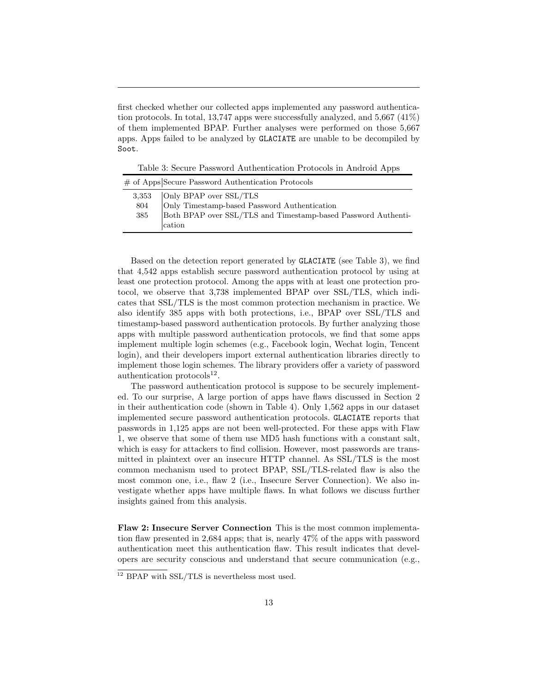first checked whether our collected apps implemented any password authentication protocols. In total, 13,747 apps were successfully analyzed, and  $5,667$  (41%) of them implemented BPAP. Further analyses were performed on those 5,667 apps. Apps failed to be analyzed by GLACIATE are unable to be decompiled by Soot.

Table 3: Secure Password Authentication Protocols in Android Apps

|                                                                                                         | # of Apps Secure Password Authentication Protocols            |  |  |  |
|---------------------------------------------------------------------------------------------------------|---------------------------------------------------------------|--|--|--|
| Only BPAP over SSL/TLS<br>3.353<br>Only Timestamp-based Password Authentication<br>804<br>385<br>cation | Both BPAP over SSL/TLS and Timestamp-based Password Authenti- |  |  |  |

Based on the detection report generated by GLACIATE (see Table 3), we find that 4,542 apps establish secure password authentication protocol by using at least one protection protocol. Among the apps with at least one protection protocol, we observe that 3,738 implemented BPAP over SSL/TLS, which indicates that SSL/TLS is the most common protection mechanism in practice. We also identify 385 apps with both protections, i.e., BPAP over SSL/TLS and timestamp-based password authentication protocols. By further analyzing those apps with multiple password authentication protocols, we find that some apps implement multiple login schemes (e.g., Facebook login, Wechat login, Tencent login), and their developers import external authentication libraries directly to implement those login schemes. The library providers offer a variety of password authentication protocols<sup>12</sup>.

The password authentication protocol is suppose to be securely implemented. To our surprise, A large portion of apps have flaws discussed in Section 2 in their authentication code (shown in Table 4). Only 1,562 apps in our dataset implemented secure password authentication protocols. GLACIATE reports that passwords in 1,125 apps are not been well-protected. For these apps with Flaw 1, we observe that some of them use MD5 hash functions with a constant salt, which is easy for attackers to find collision. However, most passwords are transmitted in plaintext over an insecure HTTP channel. As SSL/TLS is the most common mechanism used to protect BPAP, SSL/TLS-related flaw is also the most common one, i.e., flaw 2 (i.e., Insecure Server Connection). We also investigate whether apps have multiple flaws. In what follows we discuss further insights gained from this analysis.

Flaw 2: Insecure Server Connection This is the most common implementation flaw presented in 2,684 apps; that is, nearly 47% of the apps with password authentication meet this authentication flaw. This result indicates that developers are security conscious and understand that secure communication (e.g.,

 $12$  BPAP with SSL/TLS is nevertheless most used.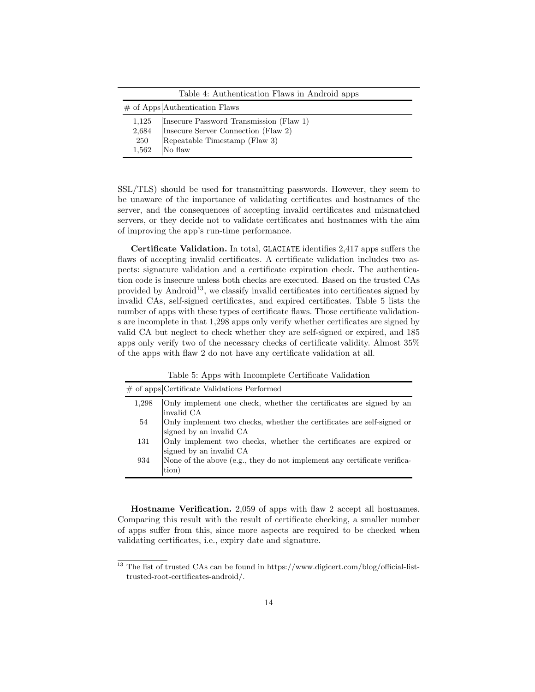| Table 4: Authentication Flaws in Android apps |                                         |  |  |  |
|-----------------------------------------------|-----------------------------------------|--|--|--|
| $\#$ of Apps Authentication Flaws             |                                         |  |  |  |
| 1.125                                         | Insecure Password Transmission (Flaw 1) |  |  |  |
| 2,684                                         | Insecure Server Connection (Flaw 2)     |  |  |  |
| 250                                           | Repeatable Timestamp (Flaw 3)           |  |  |  |
| 1,562                                         | No flaw                                 |  |  |  |

SSL/TLS) should be used for transmitting passwords. However, they seem to be unaware of the importance of validating certificates and hostnames of the server, and the consequences of accepting invalid certificates and mismatched servers, or they decide not to validate certificates and hostnames with the aim of improving the app's run-time performance.

Certificate Validation. In total, GLACIATE identifies 2,417 apps suffers the flaws of accepting invalid certificates. A certificate validation includes two aspects: signature validation and a certificate expiration check. The authentication code is insecure unless both checks are executed. Based on the trusted CAs provided by Android<sup>13</sup>, we classify invalid certificates into certificates signed by invalid CAs, self-signed certificates, and expired certificates. Table 5 lists the number of apps with these types of certificate flaws. Those certificate validations are incomplete in that 1,298 apps only verify whether certificates are signed by valid CA but neglect to check whether they are self-signed or expired, and 185 apps only verify two of the necessary checks of certificate validity. Almost 35% of the apps with flaw 2 do not have any certificate validation at all.

Table 5: Apps with Incomplete Certificate Validation

| # of apps Certificate Validations Performed |                                                                                                   |  |  |
|---------------------------------------------|---------------------------------------------------------------------------------------------------|--|--|
| 1,298                                       | Only implement one check, whether the certificates are signed by an<br>invalid CA                 |  |  |
| 54                                          | Only implement two checks, whether the certificates are self-signed or<br>signed by an invalid CA |  |  |
| 131                                         | Only implement two checks, whether the certificates are expired or<br>signed by an invalid CA     |  |  |
| 934                                         | None of the above (e.g., they do not implement any certificate verifica-<br>tion)                 |  |  |

Hostname Verification. 2,059 of apps with flaw 2 accept all hostnames. Comparing this result with the result of certificate checking, a smaller number of apps suffer from this, since more aspects are required to be checked when validating certificates, i.e., expiry date and signature.

<sup>&</sup>lt;sup>13</sup> The list of trusted CAs can be found in https://www.digicert.com/blog/official-listtrusted-root-certificates-android/.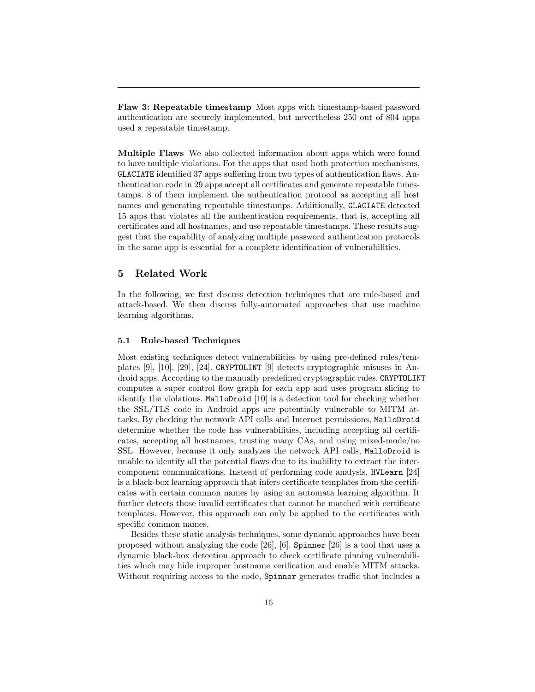Flaw 3: Repeatable timestamp Most apps with timestamp-based password authentication are securely implemented, but nevertheless 250 out of 804 apps used a repeatable timestamp.

Multiple Flaws We also collected information about apps which were found to have multiple violations. For the apps that used both protection mechanisms, GLACIATE identified 37 apps suffering from two types of authentication flaws. Authentication code in 29 apps accept all certificates and generate repeatable timestamps. 8 of them implement the authentication protocol as accepting all host names and generating repeatable timestamps. Additionally, GLACIATE detected 15 apps that violates all the authentication requirements, that is, accepting all certificates and all hostnames, and use repeatable timestamps. These results suggest that the capability of analyzing multiple password authentication protocols in the same app is essential for a complete identification of vulnerabilities.

# 5 Related Work

In the following, we first discuss detection techniques that are rule-based and attack-based. We then discuss fully-automated approaches that use machine learning algorithms.

### 5.1 Rule-based Techniques

Most existing techniques detect vulnerabilities by using pre-defined rules/templates [9], [10], [29], [24]. CRYPTOLINT [9] detects cryptographic misuses in Android apps. According to the manually predefined cryptographic rules, CRYPTOLINT computes a super control flow graph for each app and uses program slicing to identify the violations. MalloDroid [10] is a detection tool for checking whether the SSL/TLS code in Android apps are potentially vulnerable to MITM attacks. By checking the network API calls and Internet permissions, MalloDroid determine whether the code has vulnerabilities, including accepting all certificates, accepting all hostnames, trusting many CAs, and using mixed-mode/no SSL. However, because it only analyzes the network API calls, MalloDroid is unable to identify all the potential flaws due to its inability to extract the intercomponent communications. Instead of performing code analysis, HVLearn [24] is a black-box learning approach that infers certificate templates from the certificates with certain common names by using an automata learning algorithm. It further detects those invalid certificates that cannot be matched with certificate templates. However, this approach can only be applied to the certificates with specific common names.

Besides these static analysis techniques, some dynamic approaches have been proposed without analyzing the code [26], [6]. Spinner [26] is a tool that uses a dynamic black-box detection approach to check certificate pinning vulnerabilities which may hide improper hostname verification and enable MITM attacks. Without requiring access to the code, Spinner generates traffic that includes a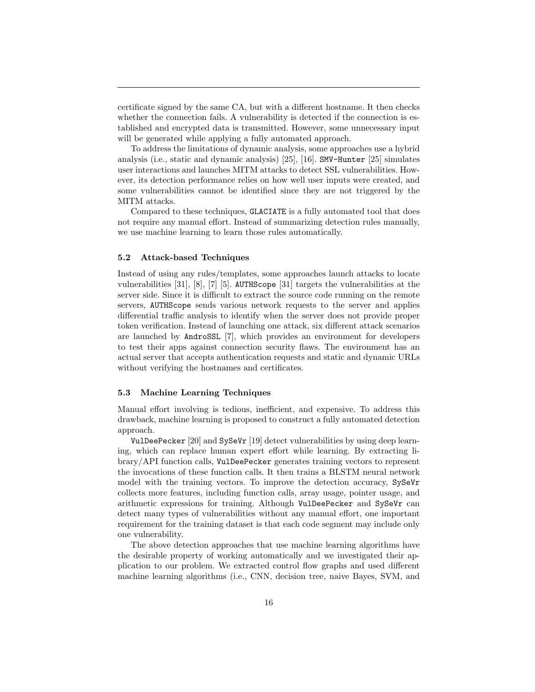certificate signed by the same CA, but with a different hostname. It then checks whether the connection fails. A vulnerability is detected if the connection is established and encrypted data is transmitted. However, some unnecessary input will be generated while applying a fully automated approach.

To address the limitations of dynamic analysis, some approaches use a hybrid analysis (i.e., static and dynamic analysis) [25], [16]. SMV-Hunter [25] simulates user interactions and launches MITM attacks to detect SSL vulnerabilities. However, its detection performance relies on how well user inputs were created, and some vulnerabilities cannot be identified since they are not triggered by the MITM attacks.

Compared to these techniques, GLACIATE is a fully automated tool that does not require any manual effort. Instead of summarizing detection rules manually, we use machine learning to learn those rules automatically.

#### 5.2 Attack-based Techniques

Instead of using any rules/templates, some approaches launch attacks to locate vulnerabilities [31], [8], [7] [5]. AUTHScope [31] targets the vulnerabilities at the server side. Since it is difficult to extract the source code running on the remote servers, AUTHScope sends various network requests to the server and applies differential traffic analysis to identify when the server does not provide proper token verification. Instead of launching one attack, six different attack scenarios are launched by AndroSSL [7], which provides an environment for developers to test their apps against connection security flaws. The environment has an actual server that accepts authentication requests and static and dynamic URLs without verifying the hostnames and certificates.

## 5.3 Machine Learning Techniques

Manual effort involving is tedious, inefficient, and expensive. To address this drawback, machine learning is proposed to construct a fully automated detection approach.

VulDeePecker [20] and SySeVr [19] detect vulnerabilities by using deep learning, which can replace human expert effort while learning. By extracting library/API function calls, VulDeePecker generates training vectors to represent the invocations of these function calls. It then trains a BLSTM neural network model with the training vectors. To improve the detection accuracy, SySeVr collects more features, including function calls, array usage, pointer usage, and arithmetic expressions for training. Although VulDeePecker and SySeVr can detect many types of vulnerabilities without any manual effort, one important requirement for the training dataset is that each code segment may include only one vulnerability.

The above detection approaches that use machine learning algorithms have the desirable property of working automatically and we investigated their application to our problem. We extracted control flow graphs and used different machine learning algorithms (i.e., CNN, decision tree, naive Bayes, SVM, and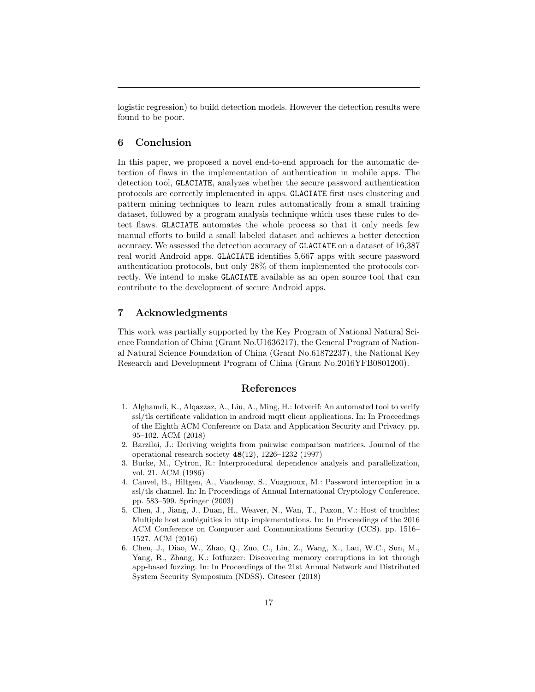logistic regression) to build detection models. However the detection results were found to be poor.

# 6 Conclusion

In this paper, we proposed a novel end-to-end approach for the automatic detection of flaws in the implementation of authentication in mobile apps. The detection tool, GLACIATE, analyzes whether the secure password authentication protocols are correctly implemented in apps. GLACIATE first uses clustering and pattern mining techniques to learn rules automatically from a small training dataset, followed by a program analysis technique which uses these rules to detect flaws. GLACIATE automates the whole process so that it only needs few manual efforts to build a small labeled dataset and achieves a better detection accuracy. We assessed the detection accuracy of GLACIATE on a dataset of 16,387 real world Android apps. GLACIATE identifies 5,667 apps with secure password authentication protocols, but only 28% of them implemented the protocols correctly. We intend to make GLACIATE available as an open source tool that can contribute to the development of secure Android apps.

# 7 Acknowledgments

This work was partially supported by the Key Program of National Natural Science Foundation of China (Grant No.U1636217), the General Program of National Natural Science Foundation of China (Grant No.61872237), the National Key Research and Development Program of China (Grant No.2016YFB0801200).

# References

- 1. Alghamdi, K., Alqazzaz, A., Liu, A., Ming, H.: Iotverif: An automated tool to verify ssl/tls certificate validation in android mqtt client applications. In: In Proceedings of the Eighth ACM Conference on Data and Application Security and Privacy. pp. 95–102. ACM (2018)
- 2. Barzilai, J.: Deriving weights from pairwise comparison matrices. Journal of the operational research society 48(12), 1226–1232 (1997)
- 3. Burke, M., Cytron, R.: Interprocedural dependence analysis and parallelization, vol. 21. ACM (1986)
- 4. Canvel, B., Hiltgen, A., Vaudenay, S., Vuagnoux, M.: Password interception in a ssl/tls channel. In: In Proceedings of Annual International Cryptology Conference. pp. 583–599. Springer (2003)
- 5. Chen, J., Jiang, J., Duan, H., Weaver, N., Wan, T., Paxon, V.: Host of troubles: Multiple host ambiguities in http implementations. In: In Proceedings of the 2016 ACM Conference on Computer and Communications Security (CCS). pp. 1516– 1527. ACM (2016)
- 6. Chen, J., Diao, W., Zhao, Q., Zuo, C., Lin, Z., Wang, X., Lau, W.C., Sun, M., Yang, R., Zhang, K.: Iotfuzzer: Discovering memory corruptions in iot through app-based fuzzing. In: In Proceedings of the 21st Annual Network and Distributed System Security Symposium (NDSS). Citeseer (2018)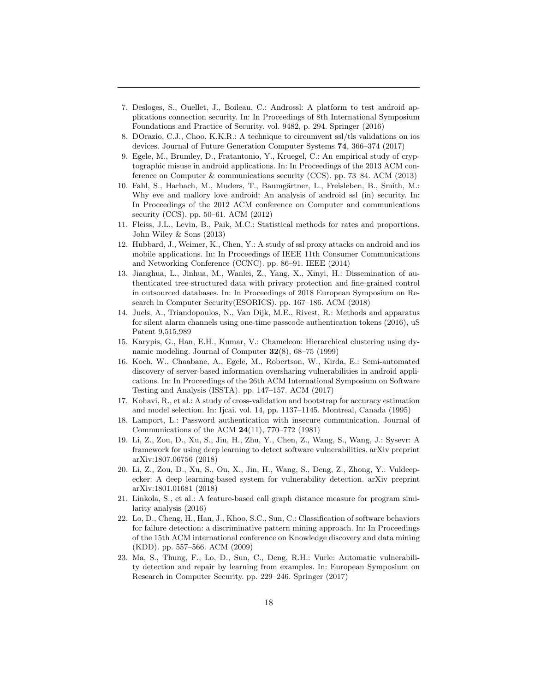- 7. Desloges, S., Ouellet, J., Boileau, C.: Androssl: A platform to test android applications connection security. In: In Proceedings of 8th International Symposium Foundations and Practice of Security. vol. 9482, p. 294. Springer (2016)
- 8. DOrazio, C.J., Choo, K.K.R.: A technique to circumvent ssl/tls validations on ios devices. Journal of Future Generation Computer Systems 74, 366–374 (2017)
- 9. Egele, M., Brumley, D., Fratantonio, Y., Kruegel, C.: An empirical study of cryptographic misuse in android applications. In: In Proceedings of the 2013 ACM conference on Computer & communications security (CCS). pp. 73–84. ACM (2013)
- 10. Fahl, S., Harbach, M., Muders, T., Baumgärtner, L., Freisleben, B., Smith, M.: Why eve and mallory love android: An analysis of android ssl (in) security. In: In Proceedings of the 2012 ACM conference on Computer and communications security (CCS). pp. 50–61. ACM (2012)
- 11. Fleiss, J.L., Levin, B., Paik, M.C.: Statistical methods for rates and proportions. John Wiley & Sons (2013)
- 12. Hubbard, J., Weimer, K., Chen, Y.: A study of ssl proxy attacks on android and ios mobile applications. In: In Proceedings of IEEE 11th Consumer Communications and Networking Conference (CCNC). pp. 86–91. IEEE (2014)
- 13. Jianghua, L., Jinhua, M., Wanlei, Z., Yang, X., Xinyi, H.: Dissemination of authenticated tree-structured data with privacy protection and fine-grained control in outsourced databases. In: In Proceedings of 2018 European Symposium on Research in Computer Security(ESORICS). pp. 167–186. ACM (2018)
- 14. Juels, A., Triandopoulos, N., Van Dijk, M.E., Rivest, R.: Methods and apparatus for silent alarm channels using one-time passcode authentication tokens (2016), uS Patent 9,515,989
- 15. Karypis, G., Han, E.H., Kumar, V.: Chameleon: Hierarchical clustering using dynamic modeling. Journal of Computer 32(8), 68–75 (1999)
- 16. Koch, W., Chaabane, A., Egele, M., Robertson, W., Kirda, E.: Semi-automated discovery of server-based information oversharing vulnerabilities in android applications. In: In Proceedings of the 26th ACM International Symposium on Software Testing and Analysis (ISSTA). pp. 147–157. ACM (2017)
- 17. Kohavi, R., et al.: A study of cross-validation and bootstrap for accuracy estimation and model selection. In: Ijcai. vol. 14, pp. 1137–1145. Montreal, Canada (1995)
- 18. Lamport, L.: Password authentication with insecure communication. Journal of Communications of the ACM 24(11), 770–772 (1981)
- 19. Li, Z., Zou, D., Xu, S., Jin, H., Zhu, Y., Chen, Z., Wang, S., Wang, J.: Sysevr: A framework for using deep learning to detect software vulnerabilities. arXiv preprint arXiv:1807.06756 (2018)
- 20. Li, Z., Zou, D., Xu, S., Ou, X., Jin, H., Wang, S., Deng, Z., Zhong, Y.: Vuldeepecker: A deep learning-based system for vulnerability detection. arXiv preprint arXiv:1801.01681 (2018)
- 21. Linkola, S., et al.: A feature-based call graph distance measure for program similarity analysis (2016)
- 22. Lo, D., Cheng, H., Han, J., Khoo, S.C., Sun, C.: Classification of software behaviors for failure detection: a discriminative pattern mining approach. In: In Proceedings of the 15th ACM international conference on Knowledge discovery and data mining (KDD). pp. 557–566. ACM (2009)
- 23. Ma, S., Thung, F., Lo, D., Sun, C., Deng, R.H.: Vurle: Automatic vulnerability detection and repair by learning from examples. In: European Symposium on Research in Computer Security. pp. 229–246. Springer (2017)